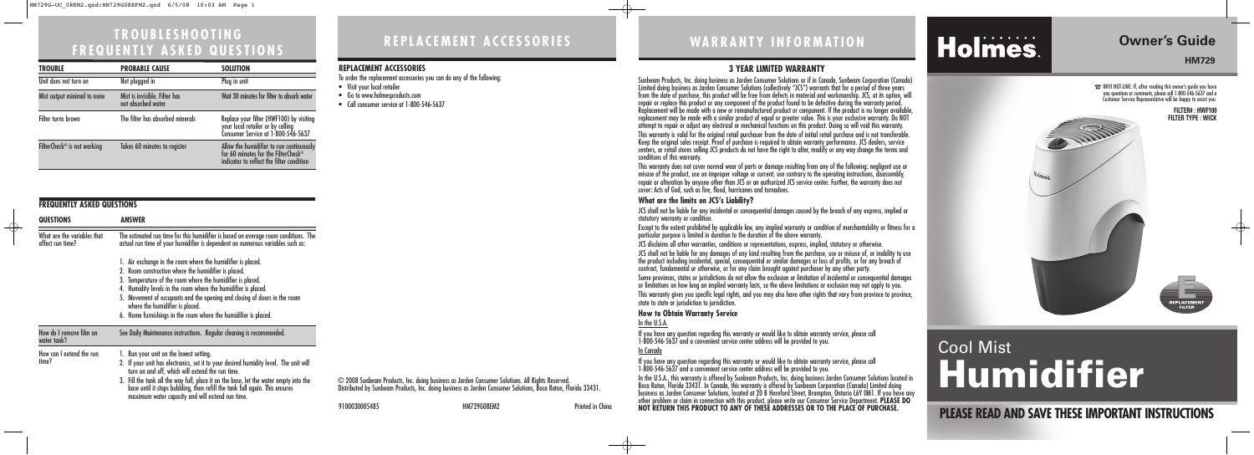**PLEASE READ AND SAVE THESE IMPORTANT INSTRUCTIONS**

## **Owner's Guide**

## **HM729**

☎INFO HOT-LINE: If, after reading this owner's guide you have any questions or comments, please call 1-800-546-5637 and a Customer Service Representative will be happy to assist you.

## Cool Mist **Humidifier**







 $\oplus$ 

## **TROUBLESHOOTING FREQUENTLY ASKED QUESTIONS**

- Visit your local retailer
- Go to www.holmesproducts.com
- Call consumer service at 1-800-546-5637

### **FREQUENTLY ASKED QUESTIONS QUESTIONS ANSWER** The estimated run time for this humidifier is based on average room conditions. The actual run time of your humidifier is dependent on numerous variables such as: 1. Air exchange in the room where the humidifier is placed. 2. Room construction where the humidifier is placed. 3. Temperature of the room where the humidifier is placed. 4. Humidity levels in the room where the humidifier is placed. 5. Movement of occupants and the opening and closing of doors in the room where the humidifier is placed. 6. Home furnishings in the room where the humidifier is placed. See Daily Maintenance instructions. Regular cleaning is recommended. 1. Run your unit on the lowest setting. 2. If your unit has electronics, set it to your desired humidity level. The unit will turn on and off, which will extend the run time. 3. Fill the tank all the way full, place it on the base, let the water empty into the base until it stops bubbling, then refill the tank full again. This ensures maximum water capacity and will extend run time. What are the variables that affect run time? How do I remove film on water tank? How can I extend the run time?

## **WARRANTY INFORMATION**

9100030005485 HM729G08EM2 Printed in China

## **REPLACEMENT ACCESSORIES**

## **REPLACEMENT ACCESSORIES**

To order the replacement accessories you can do any of the following:

## **3 YEAR LIMITED WARRANTY**

Sunbeam Products, Inc. doing business as Jarden Consumer Solutions or if in Canada, Sunbeam Corporation (Canada) Limited doing business as Jarden Consumer Solutions (collectively "JCS") warrants that for a period of three years from the date of purchase, this product will be free from defects in material and workmanship. JCS, at its option, will repair or replace this product or any component of the product found to be defective during the warranty period. Replacement will be made with a new or remanufactured product or component. If the product is no longer available, replacement may be made with a similar product of equal or greater value. This is your exclusive warranty. Do NOT attempt to repair or adjust any electrical or mechanical functions on this product. Doing so will void this warranty. This warranty is valid for the original retail purchaser from the date of initial retail purchase and is not transferable. Keep the original sales receipt. Proof of purchase is required to obtain warranty performance. JCS dealers, service centers, or retail stores selling JCS products do not have the right to alter, modify or any way change the terms and conditions of this warranty.

This warranty does not cover normal wear of parts or damage resulting from any of the following: negligent use or misuse of the product, use on improper voltage or current, use contrary to the operating instructions, disassembly, repair or alteration by anyone other than JCS or an authorized JCS service center. Further, the warranty does not cover: Acts of God, such as fire, flood, hurricanes and tornadoes.

## **What are the limits on JCS's Liability?**

JCS shall not be liable for any incidental or consequential damages caused by the breach of any express, implied or

statutory warranty or condition.

Except to the extent prohibited by applicable law, any implied warranty or condition of merchantability or fitness for a particular purpose is limited in duration to the duration of the above warranty.

- JCS disclaims all other warranties, conditions or representations, express, implied, statutory or otherwise.
- JCS shall not be liable for any damages of any kind resulting from the purchase, use or misuse of, or inability to use the product including incidental, special, consequential or similar damages or loss of profits, or for any breach of contract, fundamental or otherwise, or for any claim brought against purchaser by any other party.
- Some provinces, states or jurisdictions do not allow the exclusion or limitation of incidental or consequential damages or limitations on how long an implied warranty lasts, so the above limitations or exclusion may not apply to you. This warranty gives you specific legal rights, and you may also have other rights that vary from province to province, state to state or jurisdiction to jurisdiction.

## **How to Obtain Warranty Service**

## In the U.S.A.

If you have any question regarding this warranty or would like to obtain warranty service, please call 1-800-546-5637 and a convenient service center address will be provided to you.

# Holmes.

In Canada

If you have any question regarding this warranty or would like to obtain warranty service, please call 1-800-546-5637 and a convenient service center address will be provided to you. In the U.S.A., this warranty is offered by Sunbeam Products, Inc. doing business Jarden Consumer Solutions located in Boca Raton, Florida 33431. In Canada, this warranty is offered by Sunbeam Corporation (Canada) Limited doing business as Jarden Consumer Solutions, located at 20 B Hereford Street, Brampton, Ontario L6Y 0M1. If you have any other problem or claim in connection with this product, please write our Consumer Service Department. **PLEASE DO NOT RETURN THIS PRODUCT TO ANY OF THESE ADDRESSES OR TO THE PLACE OF PURCHASE.** 

© 2008 Sunbeam Products, Inc. doing business as Jarden Consumer Solutions. All Rights Reserved. Distributed by Sunbeam Products, Inc. doing business as Jarden Consumer Solutions, Boca Raton, Florida 33431.

| <b>TROUBLE</b>                          | <b>PROBABLE CAUSE</b>                               | <b>SOLUTION</b>                                                                                                              |
|-----------------------------------------|-----------------------------------------------------|------------------------------------------------------------------------------------------------------------------------------|
| Unit does not turn on                   | Not plugged in                                      | Plug in unit                                                                                                                 |
| Mist output minimal to none             | Mist is invisible. Filter has<br>not absorbed water | Wait 30 minutes for filter to absorb water                                                                                   |
| Filter turns brown                      | The filter has absorbed minerals                    | Replace your filter (HWF100) by visiting<br>your local retailer or by calling<br>Consumer Service at 1-800-546-5637          |
| FilterCheck <sup>®</sup> is not working | Takes 60 minutes to register                        | Allow the humidifier to run continuously<br>for 60 minutes for the FilterCheck®<br>indicator to reflect the filter condition |

 $\bigoplus$